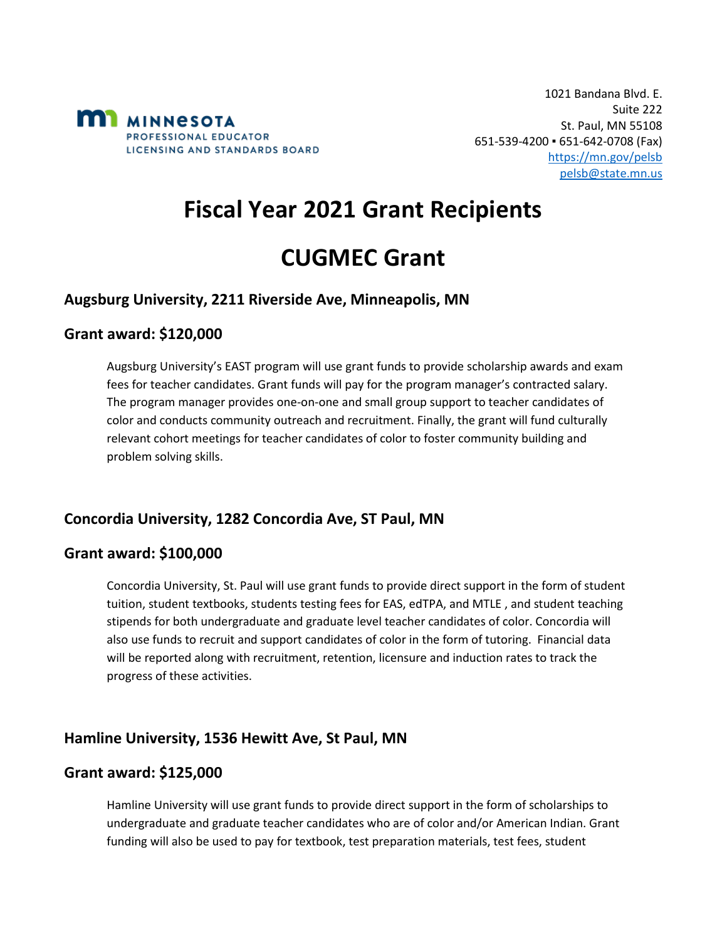

# **Fiscal Year 2021 Grant Recipients**

# **CUGMEC Grant**

### **Augsburg University, 2211 Riverside Ave, Minneapolis, MN**

#### **Grant award: \$120,000**

Augsburg University's EAST program will use grant funds to provide scholarship awards and exam fees for teacher candidates. Grant funds will pay for the program manager's contracted salary. The program manager provides one-on-one and small group support to teacher candidates of color and conducts community outreach and recruitment. Finally, the grant will fund culturally relevant cohort meetings for teacher candidates of color to foster community building and problem solving skills.

# **Concordia University, 1282 Concordia Ave, ST Paul, MN**

#### **Grant award: \$100,000**

Concordia University, St. Paul will use grant funds to provide direct support in the form of student tuition, student textbooks, students testing fees for EAS, edTPA, and MTLE , and student teaching stipends for both undergraduate and graduate level teacher candidates of color. Concordia will also use funds to recruit and support candidates of color in the form of tutoring. Financial data will be reported along with recruitment, retention, licensure and induction rates to track the progress of these activities.

# **Hamline University, 1536 Hewitt Ave, St Paul, MN**

#### **Grant award: \$125,000**

Hamline University will use grant funds to provide direct support in the form of scholarships to undergraduate and graduate teacher candidates who are of color and/or American Indian. Grant funding will also be used to pay for textbook, test preparation materials, test fees, student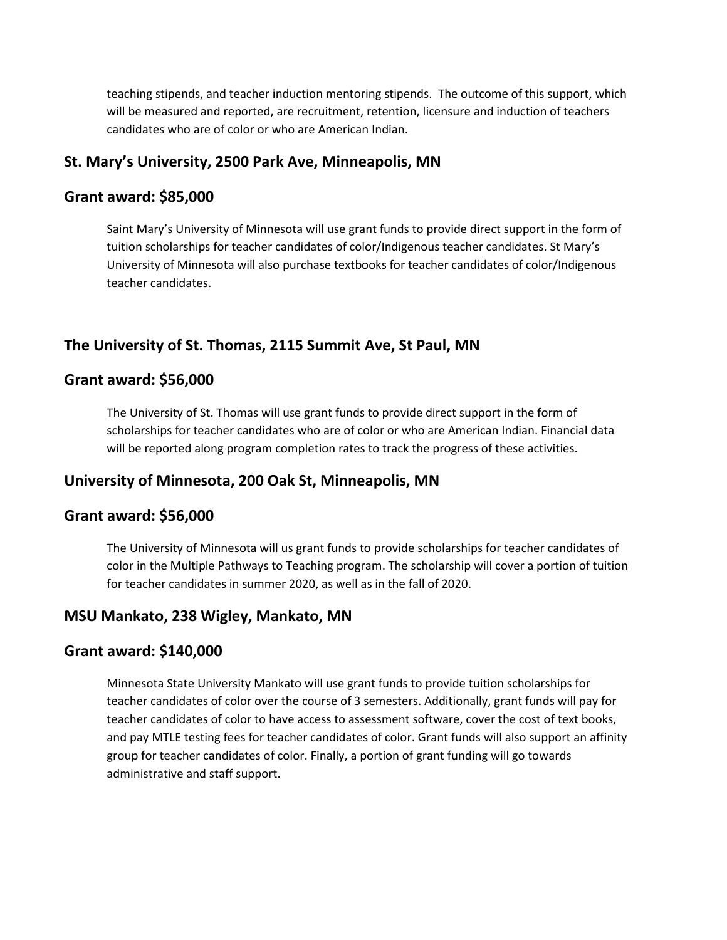teaching stipends, and teacher induction mentoring stipends. The outcome of this support, which will be measured and reported, are recruitment, retention, licensure and induction of teachers candidates who are of color or who are American Indian.

#### **St. Mary's University, 2500 Park Ave, Minneapolis, MN**

#### **Grant award: \$85,000**

Saint Mary's University of Minnesota will use grant funds to provide direct support in the form of tuition scholarships for teacher candidates of color/Indigenous teacher candidates. St Mary's University of Minnesota will also purchase textbooks for teacher candidates of color/Indigenous teacher candidates.

# **The University of St. Thomas, 2115 Summit Ave, St Paul, MN**

### **Grant award: \$56,000**

The University of St. Thomas will use grant funds to provide direct support in the form of scholarships for teacher candidates who are of color or who are American Indian. Financial data will be reported along program completion rates to track the progress of these activities.

# **University of Minnesota, 200 Oak St, Minneapolis, MN**

#### **Grant award: \$56,000**

The University of Minnesota will us grant funds to provide scholarships for teacher candidates of color in the Multiple Pathways to Teaching program. The scholarship will cover a portion of tuition for teacher candidates in summer 2020, as well as in the fall of 2020.

#### **MSU Mankato, 238 Wigley, Mankato, MN**

#### **Grant award: \$140,000**

Minnesota State University Mankato will use grant funds to provide tuition scholarships for teacher candidates of color over the course of 3 semesters. Additionally, grant funds will pay for teacher candidates of color to have access to assessment software, cover the cost of text books, and pay MTLE testing fees for teacher candidates of color. Grant funds will also support an affinity group for teacher candidates of color. Finally, a portion of grant funding will go towards administrative and staff support.